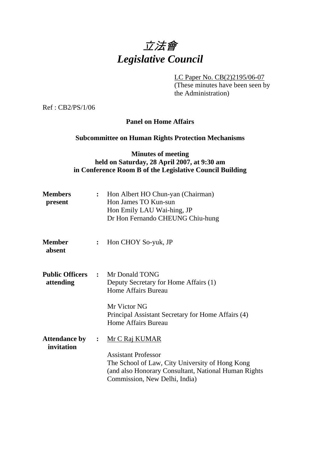# 立法會 *Legislative Council*

LC Paper No. CB(2)2195/06-07

(These minutes have been seen by the Administration)

Ref : CB2/PS/1/06

# **Panel on Home Affairs**

### **Subcommittee on Human Rights Protection Mechanisms**

## **Minutes of meeting held on Saturday, 28 April 2007, at 9:30 am in Conference Room B of the Legislative Council Building**

|                | : Hon Albert HO Chun-yan (Chairman)<br>Hon James TO Kun-sun<br>Hon Emily LAU Wai-hing, JP<br>Dr Hon Fernando CHEUNG Chiu-hung                                                             |
|----------------|-------------------------------------------------------------------------------------------------------------------------------------------------------------------------------------------|
| :              | Hon CHOY So-yuk, JP                                                                                                                                                                       |
|                | <b>Public Officers : Mr Donald TONG</b><br>Deputy Secretary for Home Affairs (1)<br>Home Affairs Bureau                                                                                   |
|                | Mr Victor NG<br>Principal Assistant Secretary for Home Affairs (4)<br><b>Home Affairs Bureau</b>                                                                                          |
| $\ddot{\cdot}$ | Mr C Raj KUMAR<br><b>Assistant Professor</b><br>The School of Law, City University of Hong Kong<br>(and also Honorary Consultant, National Human Rights)<br>Commission, New Delhi, India) |
|                |                                                                                                                                                                                           |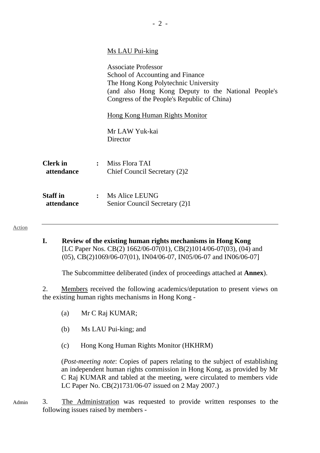|                               | Ms LAU Pui-king                                                                                                                                                                                              |
|-------------------------------|--------------------------------------------------------------------------------------------------------------------------------------------------------------------------------------------------------------|
|                               | <b>Associate Professor</b><br>School of Accounting and Finance<br>The Hong Kong Polytechnic University<br>(and also Hong Kong Deputy to the National People's<br>Congress of the People's Republic of China) |
|                               | <b>Hong Kong Human Rights Monitor</b>                                                                                                                                                                        |
|                               | Mr LAW Yuk-kai<br>Director                                                                                                                                                                                   |
| <b>Clerk</b> in<br>attendance | $:$ Miss Flora TAI<br>Chief Council Secretary (2)2                                                                                                                                                           |
| <b>Staff</b> in<br>attendance | : Ms Alice LEUNG<br>Senior Council Secretary (2)1                                                                                                                                                            |

Action

**I. Review of the existing human rights mechanisms in Hong Kong**  [LC Paper Nos. CB(2) 1662/06-07(01), CB(2)1014/06-07(03), (04) and (05), CB(2)1069/06-07(01), IN04/06-07, IN05/06-07 and IN06/06-07]

The Subcommittee deliberated (index of proceedings attached at **Annex**).

2. Members received the following academics/deputation to present views on the existing human rights mechanisms in Hong Kong -

- (a) Mr C Raj KUMAR;
- (b) Ms LAU Pui-king; and
- (c) Hong Kong Human Rights Monitor (HKHRM)

(*Post-meeting note*: Copies of papers relating to the subject of establishing an independent human rights commission in Hong Kong, as provided by Mr C Raj KUMAR and tabled at the meeting, were circulated to members vide LC Paper No. CB(2)1731/06-07 issued on 2 May 2007.)

Admin 3. The Administration was requested to provide written responses to the following issues raised by members -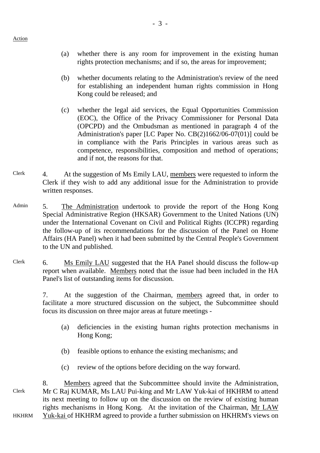- (a) whether there is any room for improvement in the existing human rights protection mechanisms; and if so, the areas for improvement;
- (b) whether documents relating to the Administration's review of the need for establishing an independent human rights commission in Hong Kong could be released; and
- (c) whether the legal aid services, the Equal Opportunities Commission (EOC), the Office of the Privacy Commissioner for Personal Data (OPCPD) and the Ombudsman as mentioned in paragraph 4 of the Administration's paper [LC Paper No. CB(2)1662/06-07(01)] could be in compliance with the Paris Principles in various areas such as competence, responsibilities, composition and method of operations; and if not, the reasons for that.
- Clerk 4. At the suggestion of Ms Emily LAU, members were requested to inform the Clerk if they wish to add any additional issue for the Administration to provide written responses.
- Admin 5. The Administration undertook to provide the report of the Hong Kong Special Administrative Region (HKSAR) Government to the United Nations (UN) under the International Covenant on Civil and Political Rights (ICCPR) regarding the follow-up of its recommendations for the discussion of the Panel on Home Affairs (HA Panel) when it had been submitted by the Central People's Government to the UN and published.
- Clerk 6. Ms Emily LAU suggested that the HA Panel should discuss the follow-up report when available. Members noted that the issue had been included in the HA Panel's list of outstanding items for discussion.

7. At the suggestion of the Chairman, members agreed that, in order to facilitate a more structured discussion on the subject, the Subcommittee should focus its discussion on three major areas at future meetings -

- (a) deficiencies in the existing human rights protection mechanisms in Hong Kong;
- (b) feasible options to enhance the existing mechanisms; and
- (c) review of the options before deciding on the way forward.

Clerk HKHRM 8. Members agreed that the Subcommittee should invite the Administration, Mr C Raj KUMAR, Ms LAU Pui-king and Mr LAW Yuk-kai of HKHRM to attend its next meeting to follow up on the discussion on the review of existing human rights mechanisms in Hong Kong. At the invitation of the Chairman, Mr LAW Yuk-kai of HKHRM agreed to provide a further submission on HKHRM's views on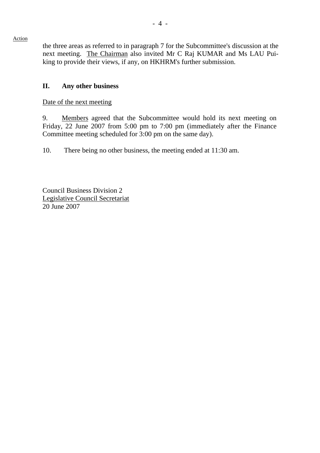the three areas as referred to in paragraph 7 for the Subcommittee's discussion at the next meeting. The Chairman also invited Mr C Raj KUMAR and Ms LAU Puiking to provide their views, if any, on HKHRM's further submission.

### **II. Any other business**

Date of the next meeting

9. Members agreed that the Subcommittee would hold its next meeting on Friday, 22 June 2007 from 5:00 pm to 7:00 pm (immediately after the Finance Committee meeting scheduled for 3:00 pm on the same day).

10. There being no other business, the meeting ended at 11:30 am.

Council Business Division 2 Legislative Council Secretariat 20 June 2007

Action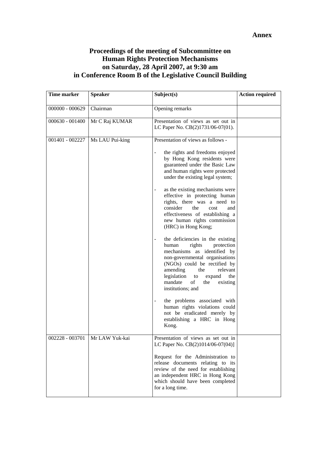## **Proceedings of the meeting of Subcommittee on Human Rights Protection Mechanisms on Saturday, 28 April 2007, at 9:30 am in Conference Room B of the Legislative Council Building**

| <b>Time marker</b> | <b>Speaker</b>  | Subject(s)                                                                                                                                                                                                                                                                                                                                                                                                                                                                                                                                                                                                                                                                                                                                                                  | <b>Action required</b> |
|--------------------|-----------------|-----------------------------------------------------------------------------------------------------------------------------------------------------------------------------------------------------------------------------------------------------------------------------------------------------------------------------------------------------------------------------------------------------------------------------------------------------------------------------------------------------------------------------------------------------------------------------------------------------------------------------------------------------------------------------------------------------------------------------------------------------------------------------|------------------------|
| $000000 - 000629$  | Chairman        | Opening remarks                                                                                                                                                                                                                                                                                                                                                                                                                                                                                                                                                                                                                                                                                                                                                             |                        |
| $000630 - 001400$  | Mr C Raj KUMAR  | Presentation of views as set out in<br>LC Paper No. CB(2)1731/06-07(01).                                                                                                                                                                                                                                                                                                                                                                                                                                                                                                                                                                                                                                                                                                    |                        |
| 001401 - 002227    | Ms LAU Pui-king | Presentation of views as follows -<br>the rights and freedoms enjoyed<br>by Hong Kong residents were<br>guaranteed under the Basic Law<br>and human rights were protected<br>under the existing legal system;<br>as the existing mechanisms were<br>effective in protecting human<br>rights, there was a need to<br>consider<br>the<br>cost<br>and<br>effectiveness of establishing a<br>new human rights commission<br>(HRC) in Hong Kong;<br>the deficiencies in the existing<br>$\overline{\phantom{0}}$<br>protection<br>human<br>rights<br>mechanisms as identified by<br>non-governmental organisations<br>(NGOs) could be rectified by<br>amending<br>the<br>relevant<br>legislation<br>to<br>expand<br>the<br>of<br>mandate<br>the<br>existing<br>institutions; and |                        |
|                    |                 | the problems associated with<br>÷<br>human rights violations could<br>not be eradicated merely by<br>establishing a HRC in Hong<br>Kong.                                                                                                                                                                                                                                                                                                                                                                                                                                                                                                                                                                                                                                    |                        |
| 002228 - 003701    | Mr LAW Yuk-kai  | Presentation of views as set out in<br>LC Paper No. CB(2)1014/06-07(04)]<br>Request for the Administration to<br>release documents relating to its<br>review of the need for establishing<br>an independent HRC in Hong Kong<br>which should have been completed<br>for a long time.                                                                                                                                                                                                                                                                                                                                                                                                                                                                                        |                        |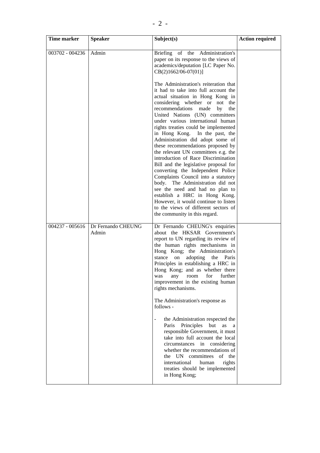| Time marker     | <b>Speaker</b>              | Subject(s)                                                                                                                                                                                                                                                                                                                                                                                                                                                                                                                                                                                                                                                                                                                                                                                                                                     | <b>Action required</b> |
|-----------------|-----------------------------|------------------------------------------------------------------------------------------------------------------------------------------------------------------------------------------------------------------------------------------------------------------------------------------------------------------------------------------------------------------------------------------------------------------------------------------------------------------------------------------------------------------------------------------------------------------------------------------------------------------------------------------------------------------------------------------------------------------------------------------------------------------------------------------------------------------------------------------------|------------------------|
| 003702 - 004236 | Admin                       | Briefing of the Administration's<br>paper on its response to the views of<br>academics/deputation [LC Paper No.<br>$CB(2)1662/06-07(01)]$                                                                                                                                                                                                                                                                                                                                                                                                                                                                                                                                                                                                                                                                                                      |                        |
|                 |                             | The Administration's reiteration that<br>it had to take into full account the<br>actual situation in Hong Kong in<br>considering whether or not the<br>recommendations made<br>by<br>the<br>United Nations (UN) committees<br>under various international human<br>rights treaties could be implemented<br>in Hong Kong. In the past, the<br>Administration did adopt some of<br>these recommendations proposed by<br>the relevant UN committees e.g. the<br>introduction of Race Discrimination<br>Bill and the legislative proposal for<br>converting the Independent Police<br>Complaints Council into a statutory<br>body. The Administration did not<br>see the need and had no plan to<br>establish a HRC in Hong Kong.<br>However, it would continue to listen<br>to the views of different sectors of<br>the community in this regard. |                        |
| 004237 - 005616 | Dr Fernando CHEUNG<br>Admin | Dr Fernando CHEUNG's enquiries<br>about the HKSAR Government's<br>report to UN regarding its review of<br>the human rights mechanisms in<br>Hong Kong; the Administration's<br>adopting<br>stance on<br>the<br>Paris<br>Principles in establishing a HRC in<br>Hong Kong; and as whether there<br>for<br>further<br>was<br>any<br>room<br>improvement in the existing human<br>rights mechanisms.<br>The Administration's response as<br>follows -<br>the Administration respected the<br>$\overline{\phantom{a}}$<br>Principles<br>Paris<br>but<br>as<br>a<br>responsible Government, it must<br>take into full account the local<br>circumstances in considering<br>whether the recommendations of<br>the UN committees<br>of the<br>international<br>human<br>rights<br>treaties should be implemented<br>in Hong Kong;                     |                        |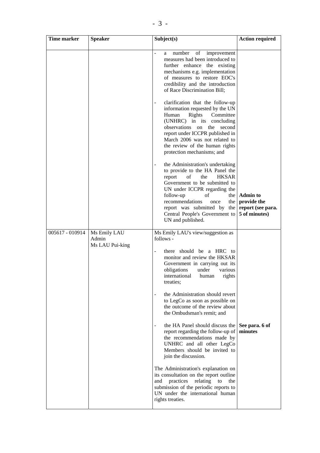| Time marker     | <b>Speaker</b>        | Subject(s)                                                                                                                                                                                                                                                                                                                                | <b>Action required</b>                                              |
|-----------------|-----------------------|-------------------------------------------------------------------------------------------------------------------------------------------------------------------------------------------------------------------------------------------------------------------------------------------------------------------------------------------|---------------------------------------------------------------------|
|                 |                       | number<br>of<br>improvement<br>÷,<br>a<br>measures had been introduced to<br>further enhance the existing<br>mechanisms e.g. implementation<br>of measures to restore EOC's<br>credibility and the introduction<br>of Race Discrimination Bill;<br>clarification that the follow-up<br>$\overline{\phantom{a}}$                           |                                                                     |
|                 |                       | information requested by the UN<br>Human<br>Rights<br>Committee<br>(UNHRC) in its concluding<br>observations on<br>the<br>second<br>report under ICCPR published in<br>March 2006 was not related to<br>the review of the human rights<br>protection mechanisms; and                                                                      |                                                                     |
|                 |                       | the Administration's undertaking<br>$\overline{a}$<br>to provide to the HA Panel the<br><b>HKSAR</b><br>report<br>οf<br>the<br>Government to be submitted to<br>UN under ICCPR regarding the<br>follow-up<br>οf<br>recommendations<br>once<br>the I<br>report was submitted by the<br>Central People's Government to<br>UN and published. | the   Admin to<br>provide the<br>report (see para.<br>5 of minutes) |
| 005617 - 010914 | Ms Emily LAU<br>Admin | Ms Emily LAU's view/suggestion as<br>follows -                                                                                                                                                                                                                                                                                            |                                                                     |
|                 | Ms LAU Pui-king       | there should be a HRC to<br>÷,<br>monitor and review the HKSAR<br>Government in carrying out its<br>obligations<br>under<br>various<br>international<br>human<br>rights<br>treaties;                                                                                                                                                      |                                                                     |
|                 |                       | the Administration should revert<br>to LegCo as soon as possible on<br>the outcome of the review about<br>the Ombudsman's remit; and                                                                                                                                                                                                      |                                                                     |
|                 |                       | the HA Panel should discuss the See para. 6 of<br>$\overline{\phantom{a}}$<br>report regarding the follow-up of<br>the recommendations made by<br>UNHRC and all other LegCo<br>Members should be invited to<br>join the discussion.                                                                                                       | minutes                                                             |
|                 |                       | The Administration's explanation on<br>its consultation on the report outline<br>practices<br>and<br>relating<br>the<br>to<br>submission of the periodic reports to<br>UN under the international human<br>rights treaties.                                                                                                               |                                                                     |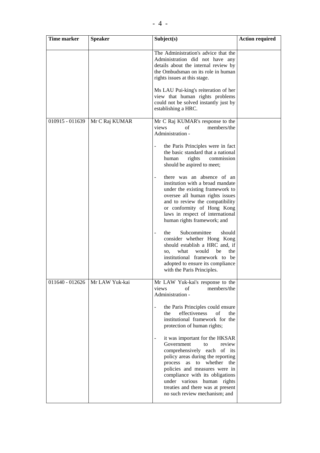| <b>Time marker</b> | <b>Speaker</b> | Subject(s)                                                                                                                                                                                                                                                                                                                                                                                                                                                                                                                                                                                                                                                                                                                                                                    | <b>Action required</b> |
|--------------------|----------------|-------------------------------------------------------------------------------------------------------------------------------------------------------------------------------------------------------------------------------------------------------------------------------------------------------------------------------------------------------------------------------------------------------------------------------------------------------------------------------------------------------------------------------------------------------------------------------------------------------------------------------------------------------------------------------------------------------------------------------------------------------------------------------|------------------------|
|                    |                | The Administration's advice that the<br>Administration did not have any<br>details about the internal review by<br>the Ombudsman on its role in human<br>rights issues at this stage.<br>Ms LAU Pui-king's reiteration of her<br>view that human rights problems<br>could not be solved instantly just by<br>establishing a HRC.                                                                                                                                                                                                                                                                                                                                                                                                                                              |                        |
| 010915 - 011639    | Mr C Raj KUMAR | Mr C Raj KUMAR's response to the<br>views<br>members/the<br>of<br>Administration -<br>the Paris Principles were in fact<br>the basic standard that a national<br>rights<br>commission<br>human<br>should be aspired to meet;<br>there was an absence of an<br>$\overline{\phantom{a}}$<br>institution with a broad mandate<br>under the existing framework to<br>oversee all human rights issues<br>and to review the compatibility<br>or conformity of Hong Kong<br>laws in respect of international<br>human rights framework; and<br>Subcommittee<br>should<br>the<br>consider whether Hong Kong<br>should establish a HRC and, if<br>what<br>would<br>be<br>the<br>SO,<br>institutional framework to be<br>adopted to ensure its compliance<br>with the Paris Principles. |                        |
| 011640 - 012626    | Mr LAW Yuk-kai | Mr LAW Yuk-kai's response to the<br>of<br>members/the<br>views<br>Administration -<br>the Paris Principles could ensure<br>effectiveness<br>$\sigma$ f<br>the<br>the<br>institutional framework for the<br>protection of human rights;<br>it was important for the HKSAR<br>Government<br>to<br>review<br>comprehensively each of its<br>policy areas during the reporting<br>process as to whether the<br>policies and measures were in<br>compliance with its obligations<br>under various human rights<br>treaties and there was at present<br>no such review mechanism; and                                                                                                                                                                                               |                        |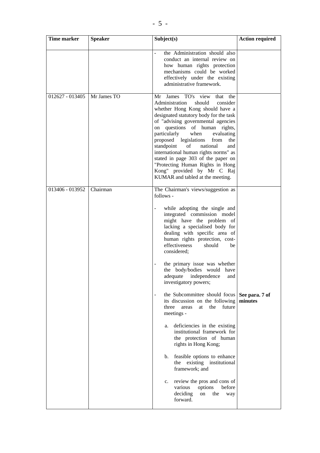| Time marker     | <b>Speaker</b> | Subject(s)                                                                                                                                                                                                                                                                                                                                                                                                                                                                                                                                                                                                                                                                                                                                                                                                                                                                                                                    | <b>Action required</b> |
|-----------------|----------------|-------------------------------------------------------------------------------------------------------------------------------------------------------------------------------------------------------------------------------------------------------------------------------------------------------------------------------------------------------------------------------------------------------------------------------------------------------------------------------------------------------------------------------------------------------------------------------------------------------------------------------------------------------------------------------------------------------------------------------------------------------------------------------------------------------------------------------------------------------------------------------------------------------------------------------|------------------------|
|                 |                | the Administration should also<br>conduct an internal review on<br>how human rights protection<br>mechanisms could be worked<br>effectively under the existing<br>administrative framework.                                                                                                                                                                                                                                                                                                                                                                                                                                                                                                                                                                                                                                                                                                                                   |                        |
| 012627 - 013405 | Mr James TO    | Mr James TO's view that the<br>Administration<br>should<br>consider<br>whether Hong Kong should have a<br>designated statutory body for the task<br>of "advising governmental agencies<br>on questions of human rights,<br>particularly<br>when<br>evaluating<br>proposed legislations from<br>the<br>national<br>standpoint<br>of<br>and<br>international human rights norms" as<br>stated in page 303 of the paper on<br>"Protecting Human Rights in Hong<br>Kong" provided by Mr C Raj<br>KUMAR and tabled at the meeting.                                                                                                                                                                                                                                                                                                                                                                                                 |                        |
| 013406 - 013952 | Chairman       | The Chairman's views/suggestion as<br>follows -<br>while adopting the single and<br>integrated commission model<br>might have the problem of<br>lacking a specialised body for<br>dealing with specific area of<br>human rights protection, cost-<br>effectiveness<br>should<br>be<br>considered;<br>the primary issue was whether<br>the body/bodies would have<br>adequate independence and<br>investigatory powers;<br>the Subcommittee should focus See para. 7 of<br>$\overline{\phantom{a}}$<br>its discussion on the following<br>future<br>three<br>the<br>areas<br>at<br>meetings -<br>deficiencies in the existing<br>a.<br>institutional framework for<br>the protection of human<br>rights in Hong Kong;<br>feasible options to enhance<br>b.<br>existing institutional<br>the<br>framework; and<br>review the pros and cons of<br>c.<br>options<br>before<br>various<br>deciding<br>the<br>on<br>way<br>forward. | minutes                |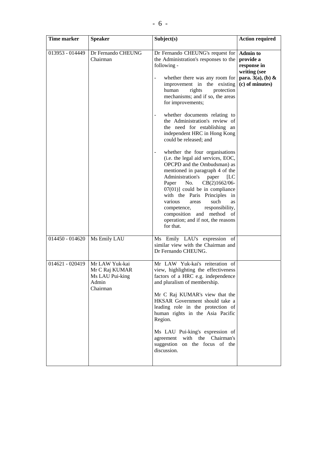| Time marker       | <b>Speaker</b>                                                           | Subject(s)                                                                                                                                                                                                                                                                                                                                                                                                                                                                                                                                                                                                                                                                                                                                                                                                                                                            | <b>Action required</b>                                                                                 |
|-------------------|--------------------------------------------------------------------------|-----------------------------------------------------------------------------------------------------------------------------------------------------------------------------------------------------------------------------------------------------------------------------------------------------------------------------------------------------------------------------------------------------------------------------------------------------------------------------------------------------------------------------------------------------------------------------------------------------------------------------------------------------------------------------------------------------------------------------------------------------------------------------------------------------------------------------------------------------------------------|--------------------------------------------------------------------------------------------------------|
| 013953 - 014449   | Dr Fernando CHEUNG<br>Chairman                                           | Dr Fernando CHEUNG's request for<br>the Administration's responses to the<br>following -<br>whether there was any room for<br>improvement in the existing<br>rights<br>human<br>protection<br>mechanisms; and if so, the areas<br>for improvements;<br>whether documents relating to<br>the Administration's review of<br>the need for establishing an<br>independent HRC in Hong Kong<br>could be released; and<br>whether the four organisations<br>-<br>(i.e. the legal aid services, EOC,<br>OPCPD and the Ombudsman) as<br>mentioned in paragraph 4 of the<br>Administration's<br>paper<br>[LC]<br>No.<br>CB(2)1662/06-<br>Paper<br>$07(01)$ ] could be in compliance<br>with the Paris Principles in<br>various<br>such<br>areas<br><b>as</b><br>competence,<br>responsibility,<br>composition and method of<br>operation; and if not, the reasons<br>for that. | <b>Admin to</b><br>provide a<br>response in<br>writing (see<br>para. $3(a)$ , (b) &<br>(c) of minutes) |
| 014450 - 014620   | Ms Emily LAU                                                             | Ms Emily LAU's expression of<br>similar view with the Chairman and<br>Dr Fernando CHEUNG.                                                                                                                                                                                                                                                                                                                                                                                                                                                                                                                                                                                                                                                                                                                                                                             |                                                                                                        |
| $014621 - 020419$ | Mr LAW Yuk-kai<br>Mr C Raj KUMAR<br>Ms LAU Pui-king<br>Admin<br>Chairman | Mr LAW Yuk-kai's reiteration of<br>view, highlighting the effectiveness<br>factors of a HRC e.g. independence<br>and pluralism of membership.<br>Mr C Raj KUMAR's view that the<br>HKSAR Government should take a<br>leading role in the protection of<br>human rights in the Asia Pacific<br>Region.<br>Ms LAU Pui-king's expression of<br>with the Chairman's<br>agreement<br>suggestion on the focus of the<br>discussion.                                                                                                                                                                                                                                                                                                                                                                                                                                         |                                                                                                        |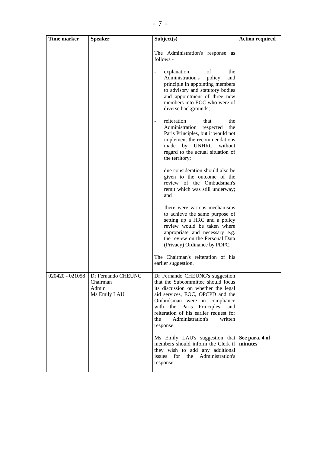| Time marker     | <b>Speaker</b>                                          | Subject(s)                                                                                                                                                                                                                                                                                                         | <b>Action required</b> |
|-----------------|---------------------------------------------------------|--------------------------------------------------------------------------------------------------------------------------------------------------------------------------------------------------------------------------------------------------------------------------------------------------------------------|------------------------|
|                 |                                                         | The Administration's response<br>as<br>follows -<br>explanation<br>οf<br>the<br>Administration's<br>policy<br>and<br>principle in appointing members<br>to advisory and statutory bodies<br>and appointment of three new<br>members into EOC who were of<br>diverse backgrounds;                                   |                        |
|                 |                                                         | reiteration<br>that<br>the<br>Administration<br>the<br>respected<br>Paris Principles, but it would not<br>implement the recommendations<br>made by UNHRC without<br>regard to the actual situation of<br>the territory;                                                                                            |                        |
|                 |                                                         | due consideration should also be<br>given to the outcome of the<br>review of the Ombudsman's<br>remit which was still underway;<br>and                                                                                                                                                                             |                        |
|                 |                                                         | there were various mechanisms<br>to achieve the same purpose of<br>setting up a HRC and a policy<br>review would be taken where<br>appropriate and necessary e.g.<br>the review on the Personal Data<br>(Privacy) Ordinance by PDPC.                                                                               |                        |
|                 |                                                         | The Chairman's reiteration of his<br>earlier suggestion.                                                                                                                                                                                                                                                           |                        |
| 020420 - 021058 | Dr Fernando CHEUNG<br>Chairman<br>Admin<br>Ms Emily LAU | Dr Fernando CHEUNG's suggestion<br>that the Subcommittee should focus<br>its discussion on whether the legal<br>aid services, EOC, OPCPD and the<br>Ombudsman were in compliance<br>with the Paris Principles;<br>and<br>reiteration of his earlier request for<br>Administration's<br>the<br>written<br>response. |                        |
|                 |                                                         | Ms Emily LAU's suggestion that See para. 4 of<br>members should inform the Clerk if<br>they wish to add any additional<br>issues for<br>Administration's<br>the<br>response.                                                                                                                                       | minutes                |